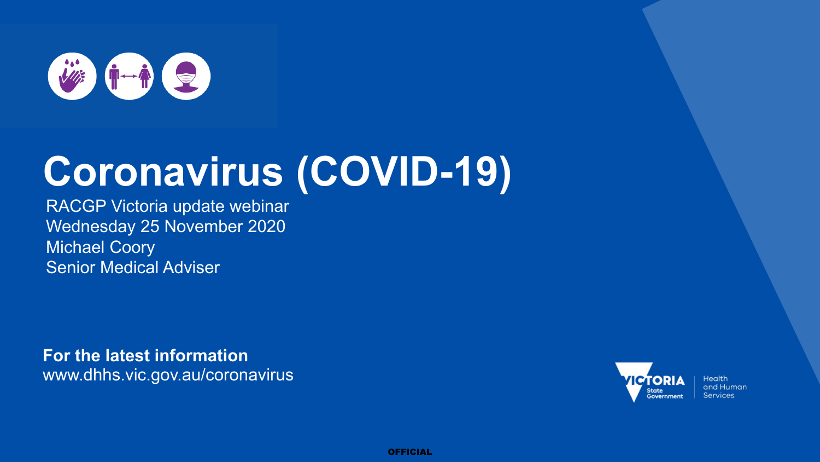

## **Coronavirus (COVID-19)**

RACGP Victoria update webinar Wednesday 25 November 2020 Michael Coory Senior Medical Adviser

**For the latest information** www.dhhs.vic.gov.au/coronavirus



**Health** and Human **Services** 

OFFICIAL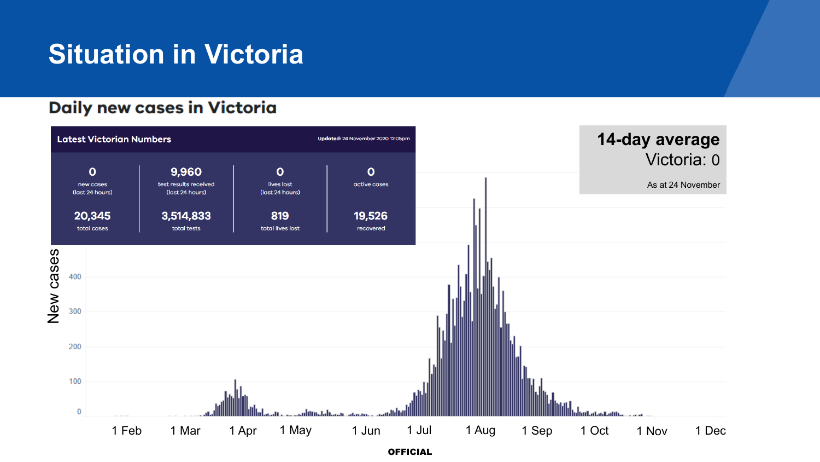### **Situation in Victoria**

### **Daily new cases in Victoria**

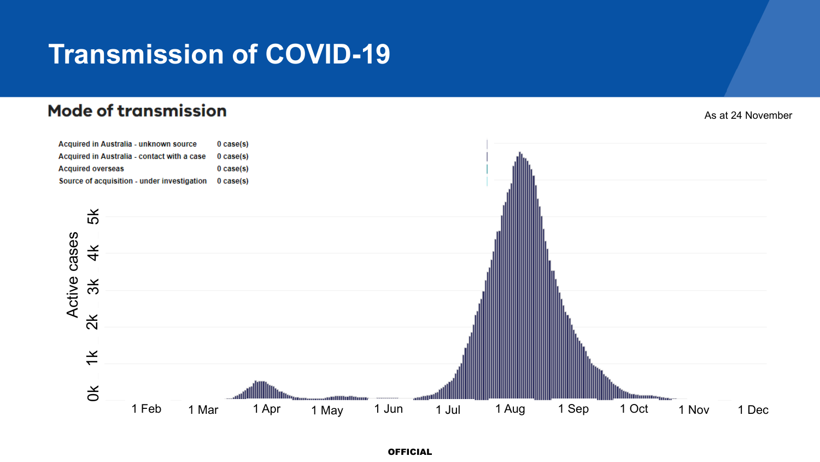### **Transmission of COVID-19**

#### **Mode of transmission**

As at 24 November

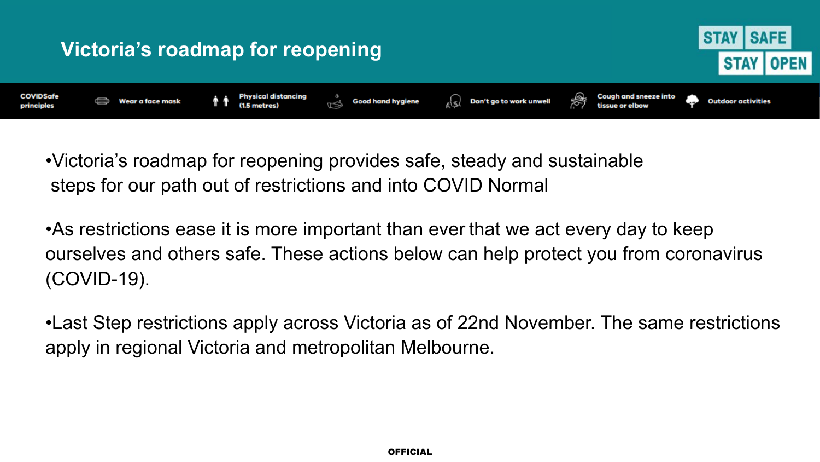

•Victoria's roadmap for reopening provides safe, steady and sustainable steps for our path out of restrictions and into COVID Normal

•As restrictions ease it is more important than ever that we act every day to keep ourselves and others safe. These actions below can help protect you from coronavirus (COVID-19).

•Last Step restrictions apply across Victoria as of 22nd November. The same restrictions apply in regional Victoria and metropolitan Melbourne.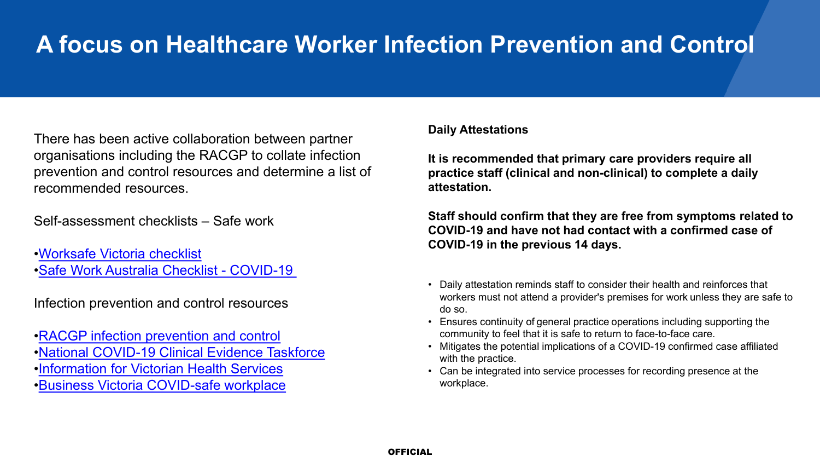There has been active collaboration between partner organisations including the RACGP to collate infection prevention and control resources and determine a list of recommended resources.

Self-assessment checklists – Safe work

[•Worksafe Victoria checklist](https://www.worksafe.vic.gov.au/managing-risk-exposure-coronavirus-covid-19-checklist-employers) [•Safe Work Australia Checklist -](https://www.safeworkaustralia.gov.au/sites/default/files/2020-06/COVID-19_Workplace-Checklist_12June2020.pdf) COVID-19

Infection prevention and control resources

[•RACGP infection prevention and control](https://www.racgp.org.au/running-a-practice/practice-standards/standards-for-other-health-care-settings/view-all-health-care-standards/infection-prevention-and-control) [•National COVID-19 Clinical Evidence Taskforce](https://covid19evidence.net.au/) [•Information for Victorian Health Services](https://www.dhhs.vic.gov.au/health-services-and-professionals-coronavirus-covid-19) [•Business Victoria COVID-safe workplace](https://www.business.vic.gov.au/coronavirus-covid-19/covid-safe-business/creating-a-covid-safe-workplace)

#### **Daily Attestations**

**It is recommended that primary care providers require all practice staff (clinical and non-clinical) to complete a daily attestation.**

**Staff should confirm that they are free from symptoms related to COVID-19 and have not had contact with a confirmed case of COVID-19 in the previous 14 days.**

- Daily attestation reminds staff to consider their health and reinforces that workers must not attend a provider's premises for work unless they are safe to do so.
- Ensures continuity of general practice operations including supporting the community to feel that it is safe to return to face-to-face care.
- Mitigates the potential implications of a COVID-19 confirmed case affiliated with the practice.
- Can be integrated into service processes for recording presence at the workplace.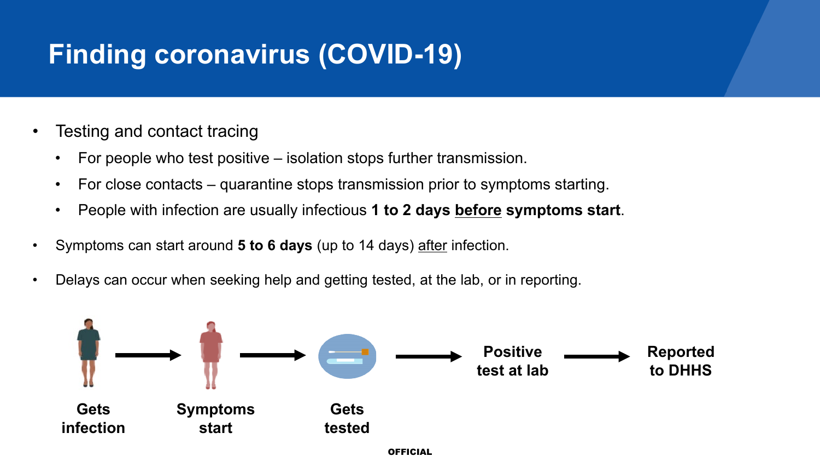## **Finding coronavirus (COVID-19)**

- Testing and contact tracing
	- For people who test positive isolation stops further transmission.
	- For close contacts quarantine stops transmission prior to symptoms starting.
	- People with infection are usually infectious **1 to 2 days before symptoms start**.
- Symptoms can start around **5 to 6 days** (up to 14 days) after infection.
- Delays can occur when seeking help and getting tested, at the lab, or in reporting.

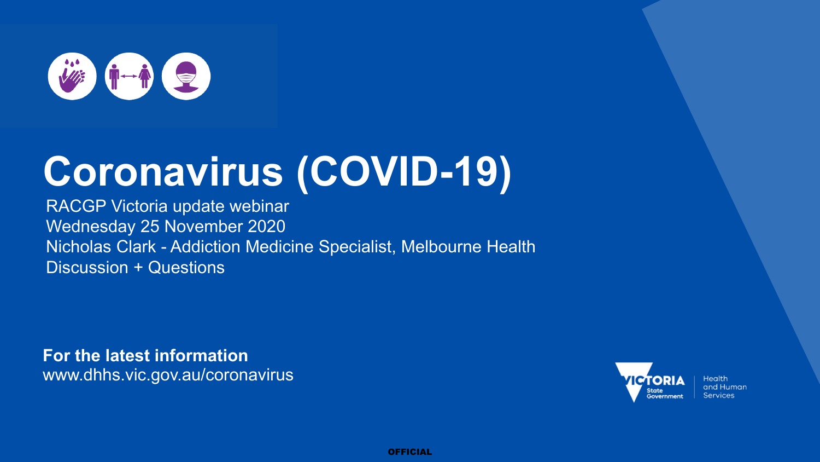

## **Coronavirus (COVID-19)**

RACGP Victoria update webinar Wednesday 25 November 2020 Nicholas Clark - Addiction Medicine Specialist, Melbourne Health Discussion + Questions

**For the latest information** www.dhhs.vic.gov.au/coronavirus



**Health** and Human **Services** 

OFFICIAL